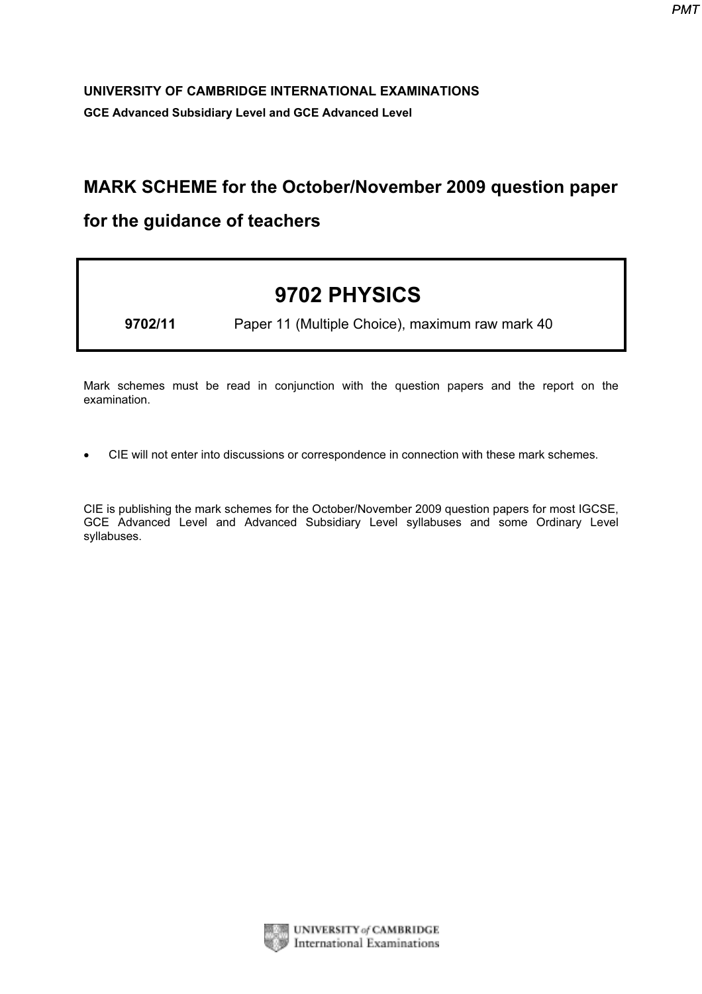## UNIVERSITY OF CAMBRIDGE INTERNATIONAL EXAMINATIONS UNIVERSITY OF CAMBRIDGE INTERNATIONAL EXAMINATIONS.<br>GCE Advanced Subsidiary Level and GCE Advanced Level

## MARK SCHEME for the October/November 2009 question paper

## for the guidance of teachers

## 9702 PHYSICS

9702/11 Paper 11 (Multiple Choice), maximum raw mark 40

Mark schemes must be read in conjunction with the question papers and the report on the examination.

*•* CIE will not enter into discussions or correspondence in connection with these mark schemes.

CIE is publishing the mark schemes for the October/November 2009 question papers for most IGCSE, GCE Advanced Level and Advanced Subsidiary Level syllabuses and some Ordinary Level syllabuses.